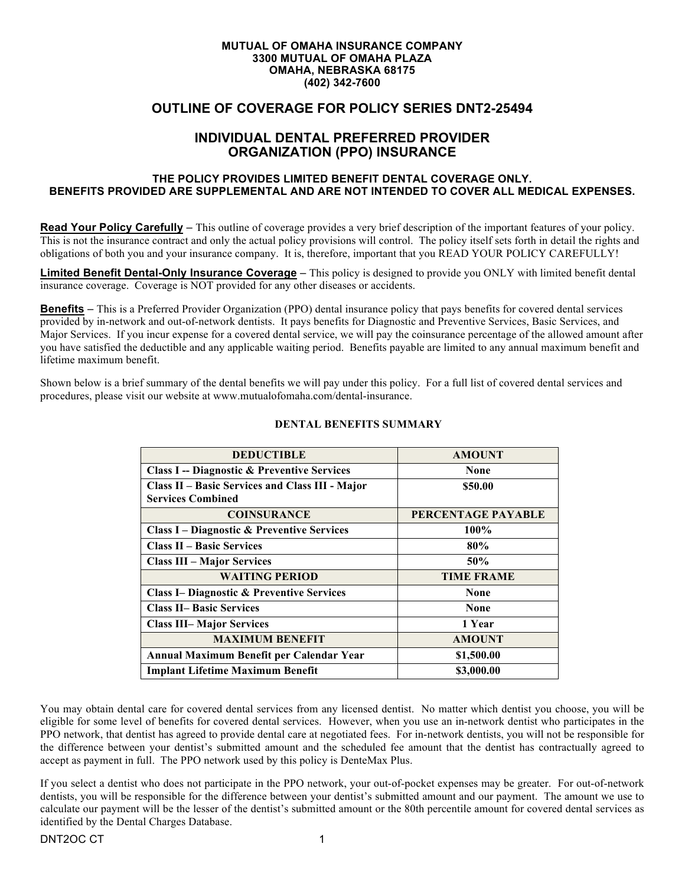#### **MUTUAL OF OMAHA INSURANCE COMPANY 3300 MUTUAL OF OMAHA PLAZA OMAHA, NEBRASKA 68175 (402) 342-7600**

# **OUTLINE OF COVERAGE FOR POLICY SERIES DNT2-25494**

# **INDIVIDUAL DENTAL PREFERRED PROVIDER ORGANIZATION (PPO) INSURANCE**

### **THE POLICY PROVIDES LIMITED BENEFIT DENTAL COVERAGE ONLY. BENEFITS PROVIDED ARE SUPPLEMENTAL AND ARE NOT INTENDED TO COVER ALL MEDICAL EXPENSES.**

**Read Your Policy Carefully** – This outline of coverage provides a very brief description of the important features of your policy. This is not the insurance contract and only the actual policy provisions will control. The policy itself sets forth in detail the rights and obligations of both you and your insurance company. It is, therefore, important that you READ YOUR POLICY CAREFULLY!

**Limited Benefit Dental-Only Insurance Coverage** – This policy is designed to provide you ONLY with limited benefit dental insurance coverage. Coverage is NOT provided for any other diseases or accidents.

**Benefits** – This is a Preferred Provider Organization (PPO) dental insurance policy that pays benefits for covered dental services provided by in-network and out-of-network dentists. It pays benefits for Diagnostic and Preventive Services, Basic Services, and Major Services. If you incur expense for a covered dental service, we will pay the coinsurance percentage of the allowed amount after you have satisfied the deductible and any applicable waiting period. Benefits payable are limited to any annual maximum benefit and lifetime maximum benefit.

Shown below is a brief summary of the dental benefits we will pay under this policy. For a full list of covered dental services and procedures, please visit our website at www.mutualofomaha.com/dental-insurance.

| <b>DEDUCTIBLE</b>                                      | <b>AMOUNT</b>      |
|--------------------------------------------------------|--------------------|
| <b>Class I -- Diagnostic &amp; Preventive Services</b> | None               |
| Class II - Basic Services and Class III - Major        | \$50.00            |
| <b>Services Combined</b>                               |                    |
| <b>COINSURANCE</b>                                     | PERCENTAGE PAYABLE |
| <b>Class I – Diagnostic &amp; Preventive Services</b>  | 100%               |
| <b>Class II – Basic Services</b>                       | 80%                |
| <b>Class III – Major Services</b>                      | 50%                |
| <b>WAITING PERIOD</b>                                  | <b>TIME FRAME</b>  |
| <b>Class I– Diagnostic &amp; Preventive Services</b>   | None               |
| <b>Class II- Basic Services</b>                        | <b>None</b>        |
| <b>Class III– Major Services</b>                       | 1 Year             |
| <b>MAXIMUM BENEFIT</b>                                 | <b>AMOUNT</b>      |
| Annual Maximum Benefit per Calendar Year               | \$1,500.00         |
| <b>Implant Lifetime Maximum Benefit</b>                | \$3,000.00         |

#### **DENTAL BENEFITS SUMMARY**

You may obtain dental care for covered dental services from any licensed dentist. No matter which dentist you choose, you will be eligible for some level of benefits for covered dental services. However, when you use an in-network dentist who participates in the PPO network, that dentist has agreed to provide dental care at negotiated fees. For in-network dentists, you will not be responsible for the difference between your dentist's submitted amount and the scheduled fee amount that the dentist has contractually agreed to accept as payment in full. The PPO network used by this policy is DenteMax Plus.

If you select a dentist who does not participate in the PPO network, your out-of-pocket expenses may be greater. For out-of-network dentists, you will be responsible for the difference between your dentist's submitted amount and our payment. The amount we use to calculate our payment will be the lesser of the dentist's submitted amount or the 80th percentile amount for covered dental services as identified by the Dental Charges Database.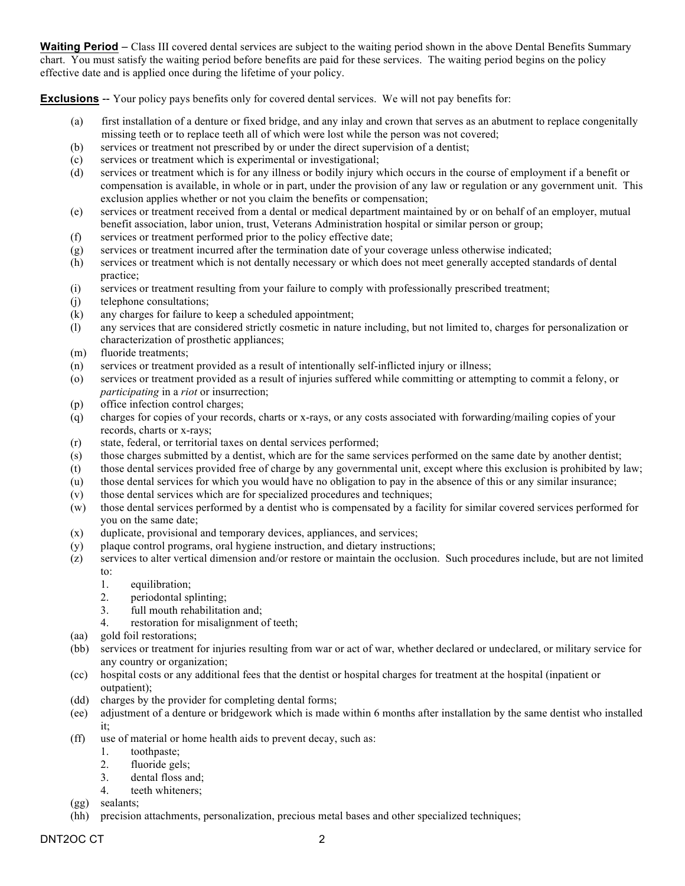**Waiting Period** – Class III covered dental services are subject to the waiting period shown in the above Dental Benefits Summary chart. You must satisfy the waiting period before benefits are paid for these services. The waiting period begins on the policy effective date and is applied once during the lifetime of your policy.

**Exclusions** -- Your policy pays benefits only for covered dental services. We will not pay benefits for:

- (a) first installation of a denture or fixed bridge, and any inlay and crown that serves as an abutment to replace congenitally missing teeth or to replace teeth all of which were lost while the person was not covered;
- (b) services or treatment not prescribed by or under the direct supervision of a dentist;
- (c) services or treatment which is experimental or investigational;
- (d) services or treatment which is for any illness or bodily injury which occurs in the course of employment if a benefit or compensation is available, in whole or in part, under the provision of any law or regulation or any government unit. This exclusion applies whether or not you claim the benefits or compensation;
- (e) services or treatment received from a dental or medical department maintained by or on behalf of an employer, mutual benefit association, labor union, trust, Veterans Administration hospital or similar person or group;
- (f) services or treatment performed prior to the policy effective date;
- (g) services or treatment incurred after the termination date of your coverage unless otherwise indicated;
- (h) services or treatment which is not dentally necessary or which does not meet generally accepted standards of dental practice;
- (i) services or treatment resulting from your failure to comply with professionally prescribed treatment;
- (j) telephone consultations;
- (k) any charges for failure to keep a scheduled appointment;
- (l) any services that are considered strictly cosmetic in nature including, but not limited to, charges for personalization or characterization of prosthetic appliances;
- (m) fluoride treatments;
- (n) services or treatment provided as a result of intentionally self-inflicted injury or illness;
- (o) services or treatment provided as a result of injuries suffered while committing or attempting to commit a felony, or *participating* in a *riot* or insurrection;
- (p) office infection control charges;
- (q) charges for copies of your records, charts or x-rays, or any costs associated with forwarding/mailing copies of your records, charts or x-rays;
- (r) state, federal, or territorial taxes on dental services performed;
- (s) those charges submitted by a dentist, which are for the same services performed on the same date by another dentist;
- (t) those dental services provided free of charge by any governmental unit, except where this exclusion is prohibited by law;
- (u) those dental services for which you would have no obligation to pay in the absence of this or any similar insurance;
- (v) those dental services which are for specialized procedures and techniques;
- (w) those dental services performed by a dentist who is compensated by a facility for similar covered services performed for you on the same date;
- (x) duplicate, provisional and temporary devices, appliances, and services;
- (y) plaque control programs, oral hygiene instruction, and dietary instructions;
- (z) services to alter vertical dimension and/or restore or maintain the occlusion. Such procedures include, but are not limited to:
	- 1. equilibration;
	- 2. periodontal splinting;
	- 3. full mouth rehabilitation and;
	- 4. restoration for misalignment of teeth;
- (aa) gold foil restorations;
- (bb) services or treatment for injuries resulting from war or act of war, whether declared or undeclared, or military service for any country or organization;
- (cc) hospital costs or any additional fees that the dentist or hospital charges for treatment at the hospital (inpatient or outpatient);
- (dd) charges by the provider for completing dental forms;
- (ee) adjustment of a denture or bridgework which is made within 6 months after installation by the same dentist who installed it;
- (ff) use of material or home health aids to prevent decay, such as:
	- 1. toothpaste;
	- 2. fluoride gels;
	- 3. dental floss and;
	- 4. teeth whiteners;
- (gg) sealants;
- (hh) precision attachments, personalization, precious metal bases and other specialized techniques;